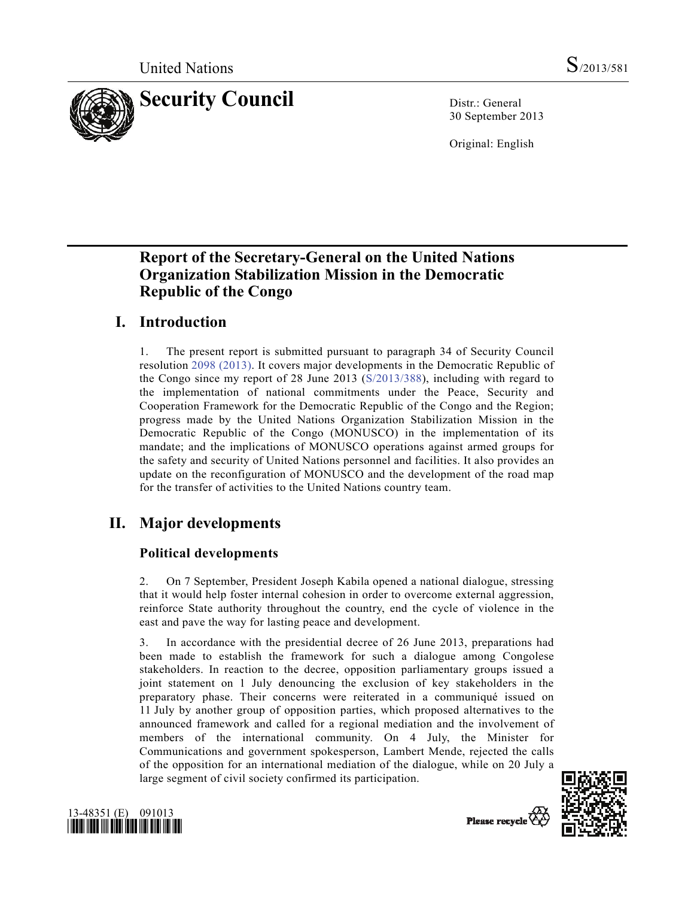

30 September 2013

Original: English

# **Report of the Secretary-General on the United Nations Organization Stabilization Mission in the Democratic Republic of the Congo**

# **I. Introduction**

1. The present report is submitted pursuant to paragraph 34 of Security Council resolution 2098 (2013). It covers major developments in the Democratic Republic of the Congo since my report of 28 June 2013 (S/2013/388), including with regard to the implementation of national commitments under the Peace, Security and Cooperation Framework for the Democratic Republic of the Congo and the Region; progress made by the United Nations Organization Stabilization Mission in the Democratic Republic of the Congo (MONUSCO) in the implementation of its mandate; and the implications of MONUSCO operations against armed groups for the safety and security of United Nations personnel and facilities. It also provides an update on the reconfiguration of MONUSCO and the development of the road map for the transfer of activities to the United Nations country team.

# **II. Major developments**

## **Political developments**

2. On 7 September, President Joseph Kabila opened a national dialogue, stressing that it would help foster internal cohesion in order to overcome external aggression, reinforce State authority throughout the country, end the cycle of violence in the east and pave the way for lasting peace and development.

3. In accordance with the presidential decree of 26 June 2013, preparations had been made to establish the framework for such a dialogue among Congolese stakeholders. In reaction to the decree, opposition parliamentary groups issued a joint statement on 1 July denouncing the exclusion of key stakeholders in the preparatory phase. Their concerns were reiterated in a communiqué issued on 11 July by another group of opposition parties, which proposed alternatives to the announced framework and called for a regional mediation and the involvement of members of the international community. On 4 July, the Minister for Communications and government spokesperson, Lambert Mende, rejected the calls of the opposition for an international mediation of the dialogue, while on 20 July a large segment of civil society confirmed its participation.





Please recycle  $\overline{\left\langle \right\rangle}$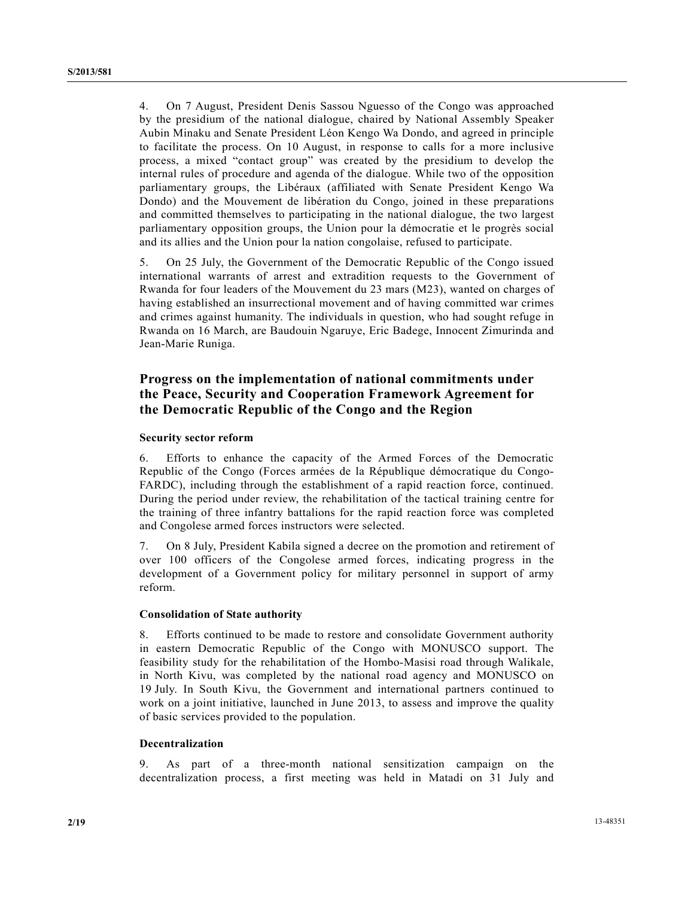4. On 7 August, President Denis Sassou Nguesso of the Congo was approached by the presidium of the national dialogue, chaired by National Assembly Speaker Aubin Minaku and Senate President Léon Kengo Wa Dondo, and agreed in principle to facilitate the process. On 10 August, in response to calls for a more inclusive process, a mixed "contact group" was created by the presidium to develop the internal rules of procedure and agenda of the dialogue. While two of the opposition parliamentary groups, the Libéraux (affiliated with Senate President Kengo Wa Dondo) and the Mouvement de libération du Congo, joined in these preparations and committed themselves to participating in the national dialogue, the two largest parliamentary opposition groups, the Union pour la démocratie et le progrès social and its allies and the Union pour la nation congolaise, refused to participate.

5. On 25 July, the Government of the Democratic Republic of the Congo issued international warrants of arrest and extradition requests to the Government of Rwanda for four leaders of the Mouvement du 23 mars (M23), wanted on charges of having established an insurrectional movement and of having committed war crimes and crimes against humanity. The individuals in question, who had sought refuge in Rwanda on 16 March, are Baudouin Ngaruye, Eric Badege, Innocent Zimurinda and Jean-Marie Runiga.

### **Progress on the implementation of national commitments under the Peace, Security and Cooperation Framework Agreement for the Democratic Republic of the Congo and the Region**

#### **Security sector reform**

6. Efforts to enhance the capacity of the Armed Forces of the Democratic Republic of the Congo (Forces armées de la République démocratique du Congo-FARDC), including through the establishment of a rapid reaction force, continued. During the period under review, the rehabilitation of the tactical training centre for the training of three infantry battalions for the rapid reaction force was completed and Congolese armed forces instructors were selected.

7. On 8 July, President Kabila signed a decree on the promotion and retirement of over 100 officers of the Congolese armed forces, indicating progress in the development of a Government policy for military personnel in support of army reform.

#### **Consolidation of State authority**

8. Efforts continued to be made to restore and consolidate Government authority in eastern Democratic Republic of the Congo with MONUSCO support. The feasibility study for the rehabilitation of the Hombo-Masisi road through Walikale, in North Kivu, was completed by the national road agency and MONUSCO on 19 July. In South Kivu, the Government and international partners continued to work on a joint initiative, launched in June 2013, to assess and improve the quality of basic services provided to the population.

#### **Decentralization**

9. As part of a three-month national sensitization campaign on the decentralization process, a first meeting was held in Matadi on 31 July and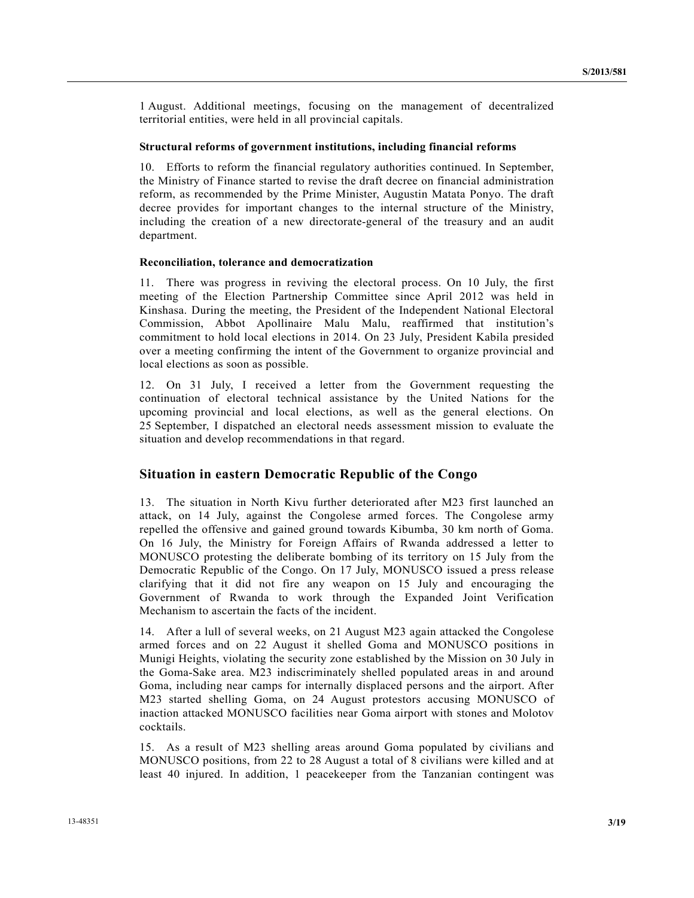1 August. Additional meetings, focusing on the management of decentralized territorial entities, were held in all provincial capitals.

#### **Structural reforms of government institutions, including financial reforms**

10. Efforts to reform the financial regulatory authorities continued. In September, the Ministry of Finance started to revise the draft decree on financial administration reform, as recommended by the Prime Minister, Augustin Matata Ponyo. The draft decree provides for important changes to the internal structure of the Ministry, including the creation of a new directorate-general of the treasury and an audit department.

#### **Reconciliation, tolerance and democratization**

11. There was progress in reviving the electoral process. On 10 July, the first meeting of the Election Partnership Committee since April 2012 was held in Kinshasa. During the meeting, the President of the Independent National Electoral Commission, Abbot Apollinaire Malu Malu, reaffirmed that institution's commitment to hold local elections in 2014. On 23 July, President Kabila presided over a meeting confirming the intent of the Government to organize provincial and local elections as soon as possible.

12. On 31 July, I received a letter from the Government requesting the continuation of electoral technical assistance by the United Nations for the upcoming provincial and local elections, as well as the general elections. On 25 September, I dispatched an electoral needs assessment mission to evaluate the situation and develop recommendations in that regard.

#### **Situation in eastern Democratic Republic of the Congo**

13. The situation in North Kivu further deteriorated after M23 first launched an attack, on 14 July, against the Congolese armed forces. The Congolese army repelled the offensive and gained ground towards Kibumba, 30 km north of Goma. On 16 July, the Ministry for Foreign Affairs of Rwanda addressed a letter to MONUSCO protesting the deliberate bombing of its territory on 15 July from the Democratic Republic of the Congo. On 17 July, MONUSCO issued a press release clarifying that it did not fire any weapon on 15 July and encouraging the Government of Rwanda to work through the Expanded Joint Verification Mechanism to ascertain the facts of the incident.

14. After a lull of several weeks, on 21 August M23 again attacked the Congolese armed forces and on 22 August it shelled Goma and MONUSCO positions in Munigi Heights, violating the security zone established by the Mission on 30 July in the Goma-Sake area. M23 indiscriminately shelled populated areas in and around Goma, including near camps for internally displaced persons and the airport. After M23 started shelling Goma, on 24 August protestors accusing MONUSCO of inaction attacked MONUSCO facilities near Goma airport with stones and Molotov cocktails.

15. As a result of M23 shelling areas around Goma populated by civilians and MONUSCO positions, from 22 to 28 August a total of 8 civilians were killed and at least 40 injured. In addition, 1 peacekeeper from the Tanzanian contingent was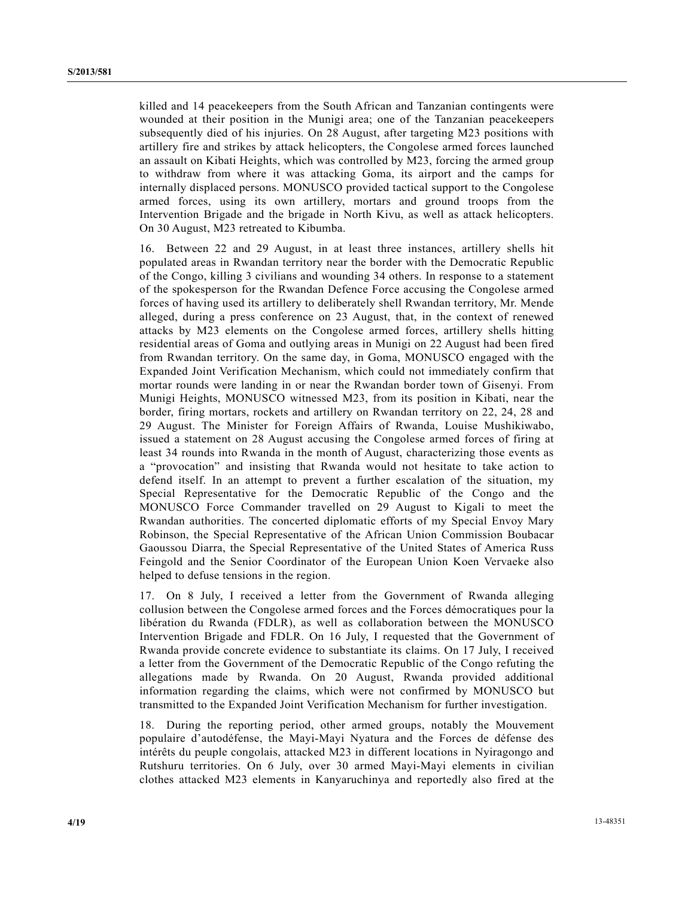killed and 14 peacekeepers from the South African and Tanzanian contingents were wounded at their position in the Munigi area; one of the Tanzanian peacekeepers subsequently died of his injuries. On 28 August, after targeting M23 positions with artillery fire and strikes by attack helicopters, the Congolese armed forces launched an assault on Kibati Heights, which was controlled by M23, forcing the armed group to withdraw from where it was attacking Goma, its airport and the camps for internally displaced persons. MONUSCO provided tactical support to the Congolese armed forces, using its own artillery, mortars and ground troops from the Intervention Brigade and the brigade in North Kivu, as well as attack helicopters. On 30 August, M23 retreated to Kibumba.

16. Between 22 and 29 August, in at least three instances, artillery shells hit populated areas in Rwandan territory near the border with the Democratic Republic of the Congo, killing 3 civilians and wounding 34 others. In response to a statement of the spokesperson for the Rwandan Defence Force accusing the Congolese armed forces of having used its artillery to deliberately shell Rwandan territory, Mr. Mende alleged, during a press conference on 23 August, that, in the context of renewed attacks by M23 elements on the Congolese armed forces, artillery shells hitting residential areas of Goma and outlying areas in Munigi on 22 August had been fired from Rwandan territory. On the same day, in Goma, MONUSCO engaged with the Expanded Joint Verification Mechanism, which could not immediately confirm that mortar rounds were landing in or near the Rwandan border town of Gisenyi. From Munigi Heights, MONUSCO witnessed M23, from its position in Kibati, near the border, firing mortars, rockets and artillery on Rwandan territory on 22, 24, 28 and 29 August. The Minister for Foreign Affairs of Rwanda, Louise Mushikiwabo, issued a statement on 28 August accusing the Congolese armed forces of firing at least 34 rounds into Rwanda in the month of August, characterizing those events as a "provocation" and insisting that Rwanda would not hesitate to take action to defend itself. In an attempt to prevent a further escalation of the situation, my Special Representative for the Democratic Republic of the Congo and the MONUSCO Force Commander travelled on 29 August to Kigali to meet the Rwandan authorities. The concerted diplomatic efforts of my Special Envoy Mary Robinson, the Special Representative of the African Union Commission Boubacar Gaoussou Diarra, the Special Representative of the United States of America Russ Feingold and the Senior Coordinator of the European Union Koen Vervaeke also helped to defuse tensions in the region.

17. On 8 July, I received a letter from the Government of Rwanda alleging collusion between the Congolese armed forces and the Forces démocratiques pour la libération du Rwanda (FDLR), as well as collaboration between the MONUSCO Intervention Brigade and FDLR. On 16 July, I requested that the Government of Rwanda provide concrete evidence to substantiate its claims. On 17 July, I received a letter from the Government of the Democratic Republic of the Congo refuting the allegations made by Rwanda. On 20 August, Rwanda provided additional information regarding the claims, which were not confirmed by MONUSCO but transmitted to the Expanded Joint Verification Mechanism for further investigation.

18. During the reporting period, other armed groups, notably the Mouvement populaire d'autodéfense, the Mayi-Mayi Nyatura and the Forces de défense des intérêts du peuple congolais, attacked M23 in different locations in Nyiragongo and Rutshuru territories. On 6 July, over 30 armed Mayi-Mayi elements in civilian clothes attacked M23 elements in Kanyaruchinya and reportedly also fired at the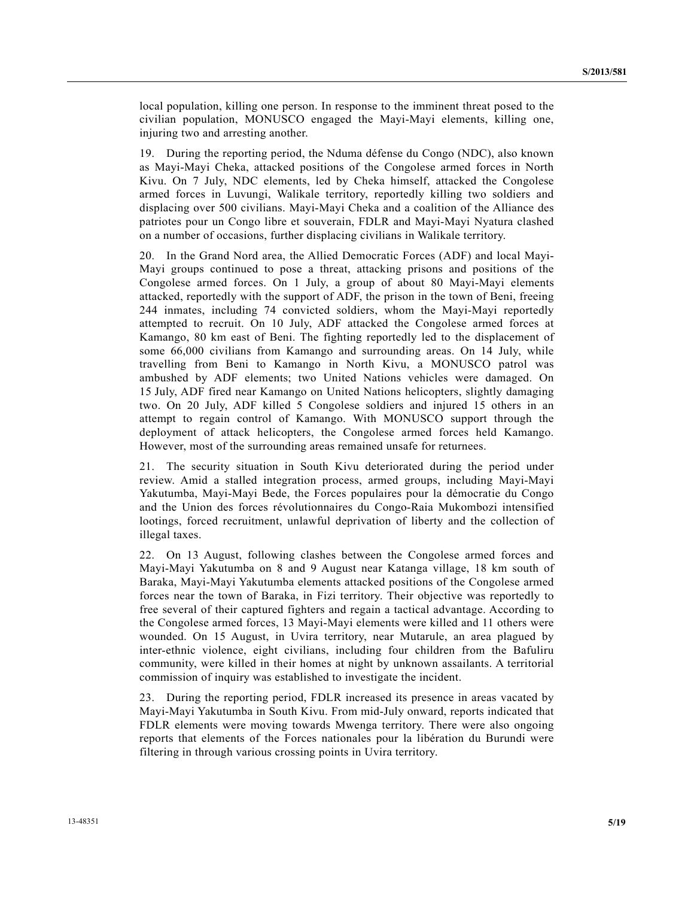local population, killing one person. In response to the imminent threat posed to the civilian population, MONUSCO engaged the Mayi-Mayi elements, killing one, injuring two and arresting another.

19. During the reporting period, the Nduma défense du Congo (NDC), also known as Mayi-Mayi Cheka, attacked positions of the Congolese armed forces in North Kivu. On 7 July, NDC elements, led by Cheka himself, attacked the Congolese armed forces in Luvungi, Walikale territory, reportedly killing two soldiers and displacing over 500 civilians. Mayi-Mayi Cheka and a coalition of the Alliance des patriotes pour un Congo libre et souverain, FDLR and Mayi-Mayi Nyatura clashed on a number of occasions, further displacing civilians in Walikale territory.

20. In the Grand Nord area, the Allied Democratic Forces (ADF) and local Mayi-Mayi groups continued to pose a threat, attacking prisons and positions of the Congolese armed forces. On 1 July, a group of about 80 Mayi-Mayi elements attacked, reportedly with the support of ADF, the prison in the town of Beni, freeing 244 inmates, including 74 convicted soldiers, whom the Mayi-Mayi reportedly attempted to recruit. On 10 July, ADF attacked the Congolese armed forces at Kamango, 80 km east of Beni. The fighting reportedly led to the displacement of some 66,000 civilians from Kamango and surrounding areas. On 14 July, while travelling from Beni to Kamango in North Kivu, a MONUSCO patrol was ambushed by ADF elements; two United Nations vehicles were damaged. On 15 July, ADF fired near Kamango on United Nations helicopters, slightly damaging two. On 20 July, ADF killed 5 Congolese soldiers and injured 15 others in an attempt to regain control of Kamango. With MONUSCO support through the deployment of attack helicopters, the Congolese armed forces held Kamango. However, most of the surrounding areas remained unsafe for returnees.

21. The security situation in South Kivu deteriorated during the period under review. Amid a stalled integration process, armed groups, including Mayi-Mayi Yakutumba, Mayi-Mayi Bede, the Forces populaires pour la démocratie du Congo and the Union des forces révolutionnaires du Congo-Raia Mukombozi intensified lootings, forced recruitment, unlawful deprivation of liberty and the collection of illegal taxes.

22. On 13 August, following clashes between the Congolese armed forces and Mayi-Mayi Yakutumba on 8 and 9 August near Katanga village, 18 km south of Baraka, Mayi-Mayi Yakutumba elements attacked positions of the Congolese armed forces near the town of Baraka, in Fizi territory. Their objective was reportedly to free several of their captured fighters and regain a tactical advantage. According to the Congolese armed forces, 13 Mayi-Mayi elements were killed and 11 others were wounded. On 15 August, in Uvira territory, near Mutarule, an area plagued by inter-ethnic violence, eight civilians, including four children from the Bafuliru community, were killed in their homes at night by unknown assailants. A territorial commission of inquiry was established to investigate the incident.

23. During the reporting period, FDLR increased its presence in areas vacated by Mayi-Mayi Yakutumba in South Kivu. From mid-July onward, reports indicated that FDLR elements were moving towards Mwenga territory. There were also ongoing reports that elements of the Forces nationales pour la libération du Burundi were filtering in through various crossing points in Uvira territory.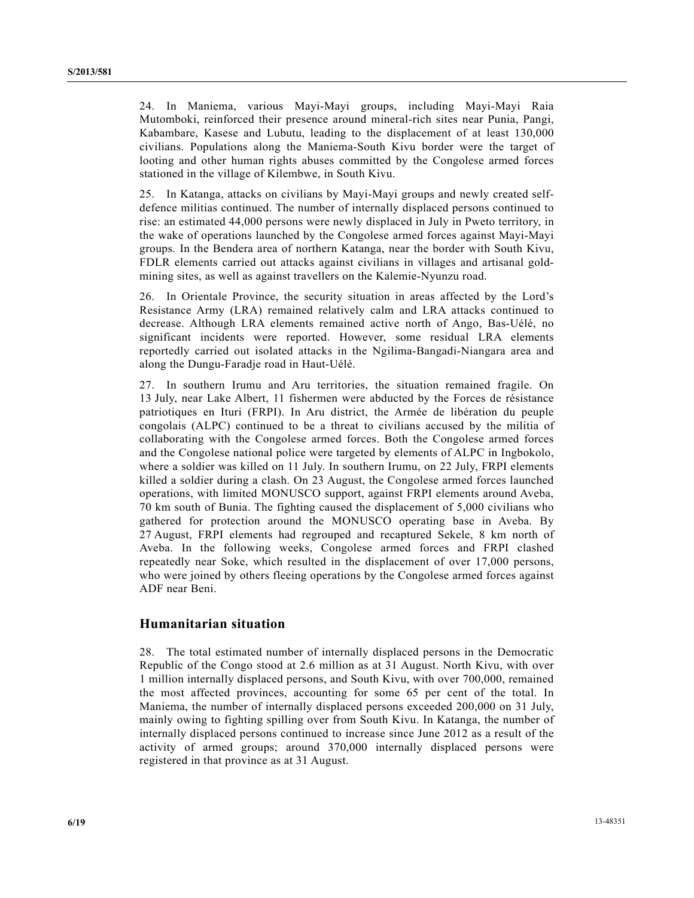24. In Maniema, various Mayi-Mayi groups, including Mayi-Mayi Raia Mutomboki, reinforced their presence around mineral-rich sites near Punia, Pangi, Kabambare, Kasese and Lubutu, leading to the displacement of at least 130,000 civilians. Populations along the Maniema-South Kivu border were the target of looting and other human rights abuses committed by the Congolese armed forces stationed in the village of Kilembwe, in South Kivu.

25. In Katanga, attacks on civilians by Mayi-Mayi groups and newly created selfdefence militias continued. The number of internally displaced persons continued to rise: an estimated 44,000 persons were newly displaced in July in Pweto territory, in the wake of operations launched by the Congolese armed forces against Mayi-Mayi groups. In the Bendera area of northern Katanga, near the border with South Kivu, FDLR elements carried out attacks against civilians in villages and artisanal goldmining sites, as well as against travellers on the Kalemie-Nyunzu road.

26. In Orientale Province, the security situation in areas affected by the Lord's Resistance Army (LRA) remained relatively calm and LRA attacks continued to decrease. Although LRA elements remained active north of Ango, Bas-Uélé, no significant incidents were reported. However, some residual LRA elements reportedly carried out isolated attacks in the Ngilima-Bangadi-Niangara area and along the Dungu-Faradje road in Haut-Uélé.

27. In southern Irumu and Aru territories, the situation remained fragile. On 13 July, near Lake Albert, 11 fishermen were abducted by the Forces de résistance patriotiques en Ituri (FRPI). In Aru district, the Armée de libération du peuple congolais (ALPC) continued to be a threat to civilians accused by the militia of collaborating with the Congolese armed forces. Both the Congolese armed forces and the Congolese national police were targeted by elements of ALPC in Ingbokolo, where a soldier was killed on 11 July. In southern Irumu, on 22 July, FRPI elements killed a soldier during a clash. On 23 August, the Congolese armed forces launched operations, with limited MONUSCO support, against FRPI elements around Aveba, 70 km south of Bunia. The fighting caused the displacement of 5,000 civilians who gathered for protection around the MONUSCO operating base in Aveba. By 27 August, FRPI elements had regrouped and recaptured Sekele, 8 km north of Aveba. In the following weeks, Congolese armed forces and FRPI clashed repeatedly near Soke, which resulted in the displacement of over 17,000 persons, who were joined by others fleeing operations by the Congolese armed forces against ADF near Beni.

### **Humanitarian situation**

28. The total estimated number of internally displaced persons in the Democratic Republic of the Congo stood at 2.6 million as at 31 August. North Kivu, with over 1 million internally displaced persons, and South Kivu, with over 700,000, remained the most affected provinces, accounting for some 65 per cent of the total. In Maniema, the number of internally displaced persons exceeded 200,000 on 31 July, mainly owing to fighting spilling over from South Kivu. In Katanga, the number of internally displaced persons continued to increase since June 2012 as a result of the activity of armed groups; around 370,000 internally displaced persons were registered in that province as at 31 August.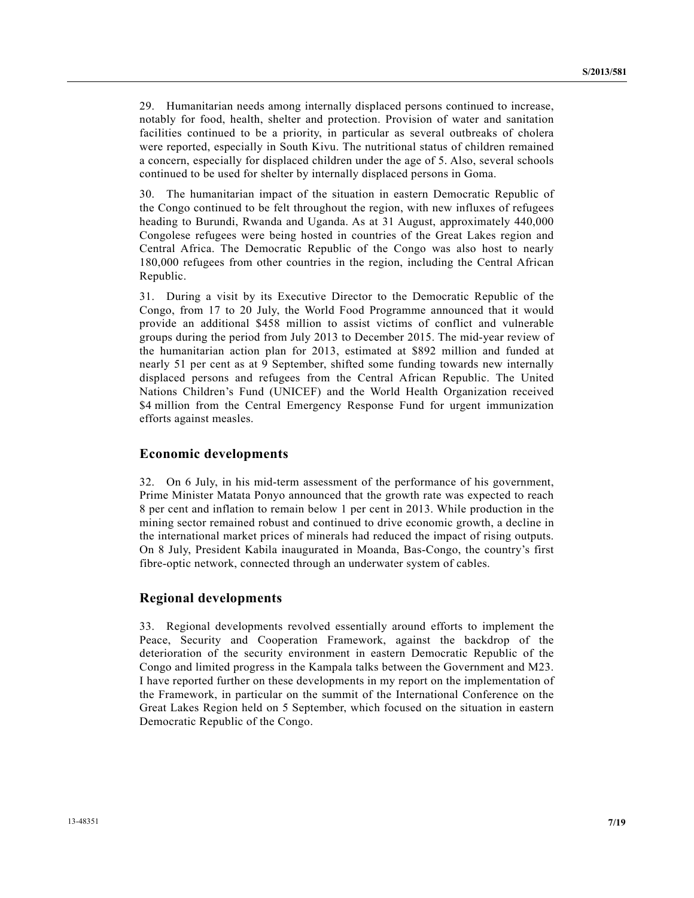29. Humanitarian needs among internally displaced persons continued to increase, notably for food, health, shelter and protection. Provision of water and sanitation facilities continued to be a priority, in particular as several outbreaks of cholera were reported, especially in South Kivu. The nutritional status of children remained a concern, especially for displaced children under the age of 5. Also, several schools continued to be used for shelter by internally displaced persons in Goma.

30. The humanitarian impact of the situation in eastern Democratic Republic of the Congo continued to be felt throughout the region, with new influxes of refugees heading to Burundi, Rwanda and Uganda. As at 31 August, approximately 440,000 Congolese refugees were being hosted in countries of the Great Lakes region and Central Africa. The Democratic Republic of the Congo was also host to nearly 180,000 refugees from other countries in the region, including the Central African Republic.

31. During a visit by its Executive Director to the Democratic Republic of the Congo, from 17 to 20 July, the World Food Programme announced that it would provide an additional \$458 million to assist victims of conflict and vulnerable groups during the period from July 2013 to December 2015. The mid-year review of the humanitarian action plan for 2013, estimated at \$892 million and funded at nearly 51 per cent as at 9 September, shifted some funding towards new internally displaced persons and refugees from the Central African Republic. The United Nations Children's Fund (UNICEF) and the World Health Organization received \$4 million from the Central Emergency Response Fund for urgent immunization efforts against measles.

#### **Economic developments**

32. On 6 July, in his mid-term assessment of the performance of his government, Prime Minister Matata Ponyo announced that the growth rate was expected to reach 8 per cent and inflation to remain below 1 per cent in 2013. While production in the mining sector remained robust and continued to drive economic growth, a decline in the international market prices of minerals had reduced the impact of rising outputs. On 8 July, President Kabila inaugurated in Moanda, Bas-Congo, the country's first fibre-optic network, connected through an underwater system of cables.

### **Regional developments**

33. Regional developments revolved essentially around efforts to implement the Peace, Security and Cooperation Framework, against the backdrop of the deterioration of the security environment in eastern Democratic Republic of the Congo and limited progress in the Kampala talks between the Government and M23. I have reported further on these developments in my report on the implementation of the Framework, in particular on the summit of the International Conference on the Great Lakes Region held on 5 September, which focused on the situation in eastern Democratic Republic of the Congo.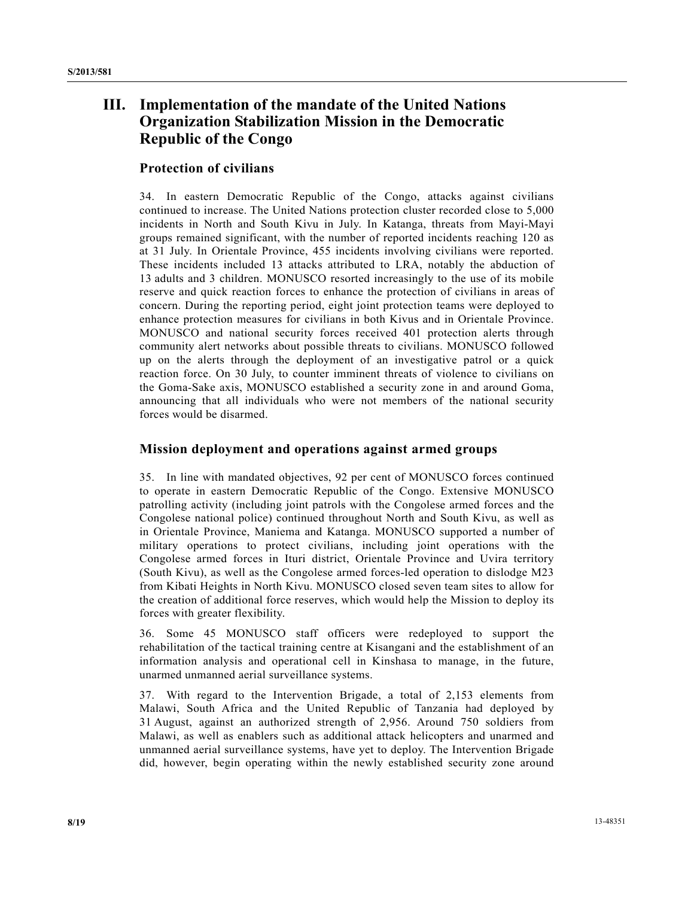# **III. Implementation of the mandate of the United Nations Organization Stabilization Mission in the Democratic Republic of the Congo**

### **Protection of civilians**

34. In eastern Democratic Republic of the Congo, attacks against civilians continued to increase. The United Nations protection cluster recorded close to 5,000 incidents in North and South Kivu in July. In Katanga, threats from Mayi-Mayi groups remained significant, with the number of reported incidents reaching 120 as at 31 July. In Orientale Province, 455 incidents involving civilians were reported. These incidents included 13 attacks attributed to LRA, notably the abduction of 13 adults and 3 children. MONUSCO resorted increasingly to the use of its mobile reserve and quick reaction forces to enhance the protection of civilians in areas of concern. During the reporting period, eight joint protection teams were deployed to enhance protection measures for civilians in both Kivus and in Orientale Province. MONUSCO and national security forces received 401 protection alerts through community alert networks about possible threats to civilians. MONUSCO followed up on the alerts through the deployment of an investigative patrol or a quick reaction force. On 30 July, to counter imminent threats of violence to civilians on the Goma-Sake axis, MONUSCO established a security zone in and around Goma, announcing that all individuals who were not members of the national security forces would be disarmed.

### **Mission deployment and operations against armed groups**

35. In line with mandated objectives, 92 per cent of MONUSCO forces continued to operate in eastern Democratic Republic of the Congo. Extensive MONUSCO patrolling activity (including joint patrols with the Congolese armed forces and the Congolese national police) continued throughout North and South Kivu, as well as in Orientale Province, Maniema and Katanga. MONUSCO supported a number of military operations to protect civilians, including joint operations with the Congolese armed forces in Ituri district, Orientale Province and Uvira territory (South Kivu), as well as the Congolese armed forces-led operation to dislodge M23 from Kibati Heights in North Kivu. MONUSCO closed seven team sites to allow for the creation of additional force reserves, which would help the Mission to deploy its forces with greater flexibility.

36. Some 45 MONUSCO staff officers were redeployed to support the rehabilitation of the tactical training centre at Kisangani and the establishment of an information analysis and operational cell in Kinshasa to manage, in the future, unarmed unmanned aerial surveillance systems.

37. With regard to the Intervention Brigade, a total of 2,153 elements from Malawi, South Africa and the United Republic of Tanzania had deployed by 31 August, against an authorized strength of 2,956. Around 750 soldiers from Malawi, as well as enablers such as additional attack helicopters and unarmed and unmanned aerial surveillance systems, have yet to deploy. The Intervention Brigade did, however, begin operating within the newly established security zone around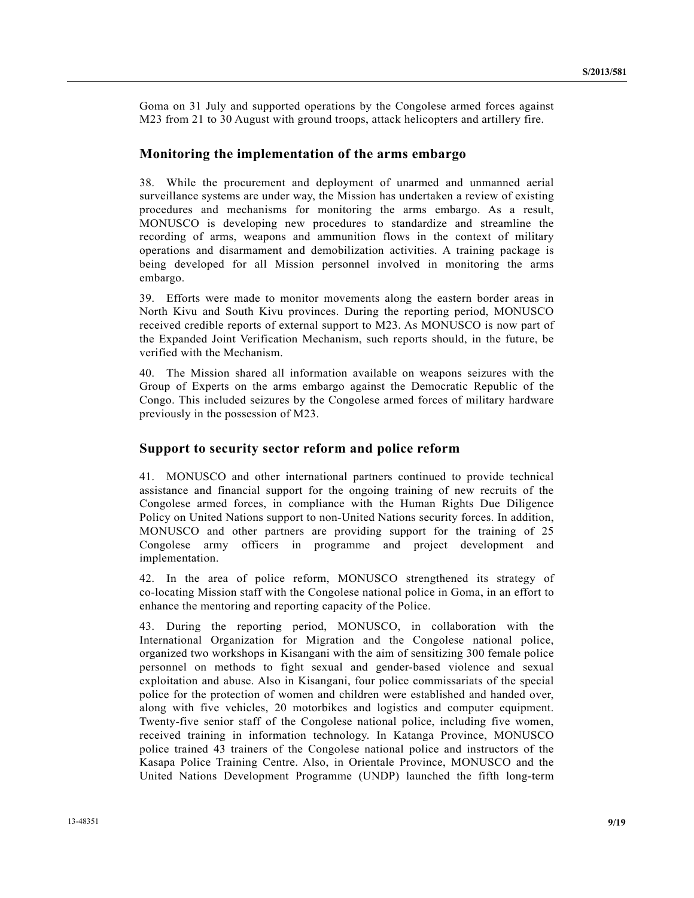Goma on 31 July and supported operations by the Congolese armed forces against M23 from 21 to 30 August with ground troops, attack helicopters and artillery fire.

#### **Monitoring the implementation of the arms embargo**

38. While the procurement and deployment of unarmed and unmanned aerial surveillance systems are under way, the Mission has undertaken a review of existing procedures and mechanisms for monitoring the arms embargo. As a result, MONUSCO is developing new procedures to standardize and streamline the recording of arms, weapons and ammunition flows in the context of military operations and disarmament and demobilization activities. A training package is being developed for all Mission personnel involved in monitoring the arms embargo.

39. Efforts were made to monitor movements along the eastern border areas in North Kivu and South Kivu provinces. During the reporting period, MONUSCO received credible reports of external support to M23. As MONUSCO is now part of the Expanded Joint Verification Mechanism, such reports should, in the future, be verified with the Mechanism.

40. The Mission shared all information available on weapons seizures with the Group of Experts on the arms embargo against the Democratic Republic of the Congo. This included seizures by the Congolese armed forces of military hardware previously in the possession of M23.

#### **Support to security sector reform and police reform**

41. MONUSCO and other international partners continued to provide technical assistance and financial support for the ongoing training of new recruits of the Congolese armed forces, in compliance with the Human Rights Due Diligence Policy on United Nations support to non-United Nations security forces. In addition, MONUSCO and other partners are providing support for the training of 25 Congolese army officers in programme and project development and implementation.

42. In the area of police reform, MONUSCO strengthened its strategy of co-locating Mission staff with the Congolese national police in Goma, in an effort to enhance the mentoring and reporting capacity of the Police.

43. During the reporting period, MONUSCO, in collaboration with the International Organization for Migration and the Congolese national police, organized two workshops in Kisangani with the aim of sensitizing 300 female police personnel on methods to fight sexual and gender-based violence and sexual exploitation and abuse. Also in Kisangani, four police commissariats of the special police for the protection of women and children were established and handed over, along with five vehicles, 20 motorbikes and logistics and computer equipment. Twenty-five senior staff of the Congolese national police, including five women, received training in information technology. In Katanga Province, MONUSCO police trained 43 trainers of the Congolese national police and instructors of the Kasapa Police Training Centre. Also, in Orientale Province, MONUSCO and the United Nations Development Programme (UNDP) launched the fifth long-term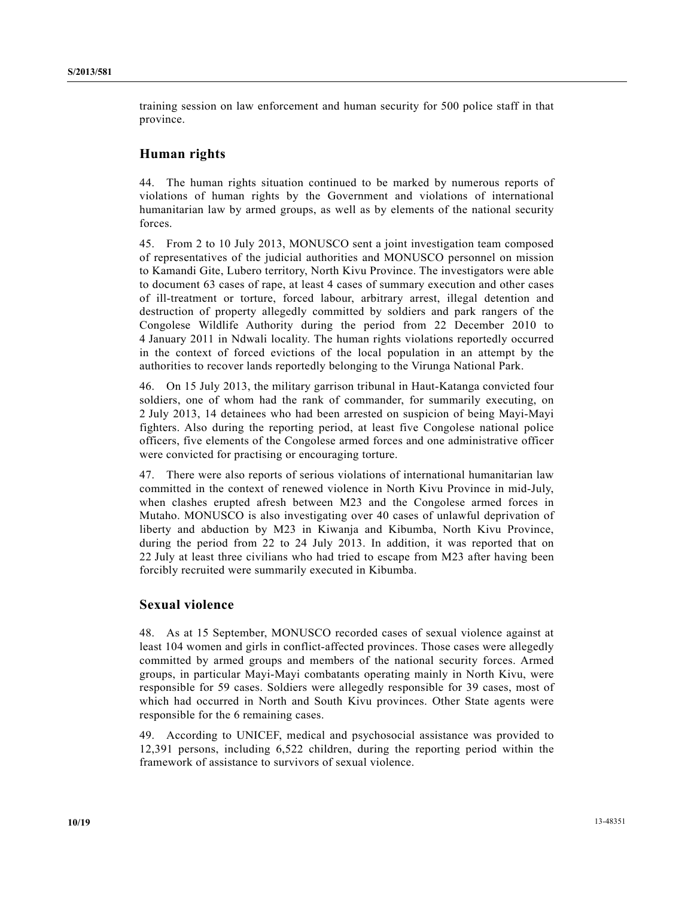training session on law enforcement and human security for 500 police staff in that province.

### **Human rights**

44. The human rights situation continued to be marked by numerous reports of violations of human rights by the Government and violations of international humanitarian law by armed groups, as well as by elements of the national security forces.

45. From 2 to 10 July 2013, MONUSCO sent a joint investigation team composed of representatives of the judicial authorities and MONUSCO personnel on mission to Kamandi Gite, Lubero territory, North Kivu Province. The investigators were able to document 63 cases of rape, at least 4 cases of summary execution and other cases of ill-treatment or torture, forced labour, arbitrary arrest, illegal detention and destruction of property allegedly committed by soldiers and park rangers of the Congolese Wildlife Authority during the period from 22 December 2010 to 4 January 2011 in Ndwali locality. The human rights violations reportedly occurred in the context of forced evictions of the local population in an attempt by the authorities to recover lands reportedly belonging to the Virunga National Park.

46. On 15 July 2013, the military garrison tribunal in Haut-Katanga convicted four soldiers, one of whom had the rank of commander, for summarily executing, on 2 July 2013, 14 detainees who had been arrested on suspicion of being Mayi-Mayi fighters. Also during the reporting period, at least five Congolese national police officers, five elements of the Congolese armed forces and one administrative officer were convicted for practising or encouraging torture.

47. There were also reports of serious violations of international humanitarian law committed in the context of renewed violence in North Kivu Province in mid-July, when clashes erupted afresh between M23 and the Congolese armed forces in Mutaho. MONUSCO is also investigating over 40 cases of unlawful deprivation of liberty and abduction by M23 in Kiwanja and Kibumba, North Kivu Province, during the period from 22 to 24 July 2013. In addition, it was reported that on 22 July at least three civilians who had tried to escape from M23 after having been forcibly recruited were summarily executed in Kibumba.

### **Sexual violence**

48. As at 15 September, MONUSCO recorded cases of sexual violence against at least 104 women and girls in conflict-affected provinces. Those cases were allegedly committed by armed groups and members of the national security forces. Armed groups, in particular Mayi-Mayi combatants operating mainly in North Kivu, were responsible for 59 cases. Soldiers were allegedly responsible for 39 cases, most of which had occurred in North and South Kivu provinces. Other State agents were responsible for the 6 remaining cases.

49. According to UNICEF, medical and psychosocial assistance was provided to 12,391 persons, including 6,522 children, during the reporting period within the framework of assistance to survivors of sexual violence.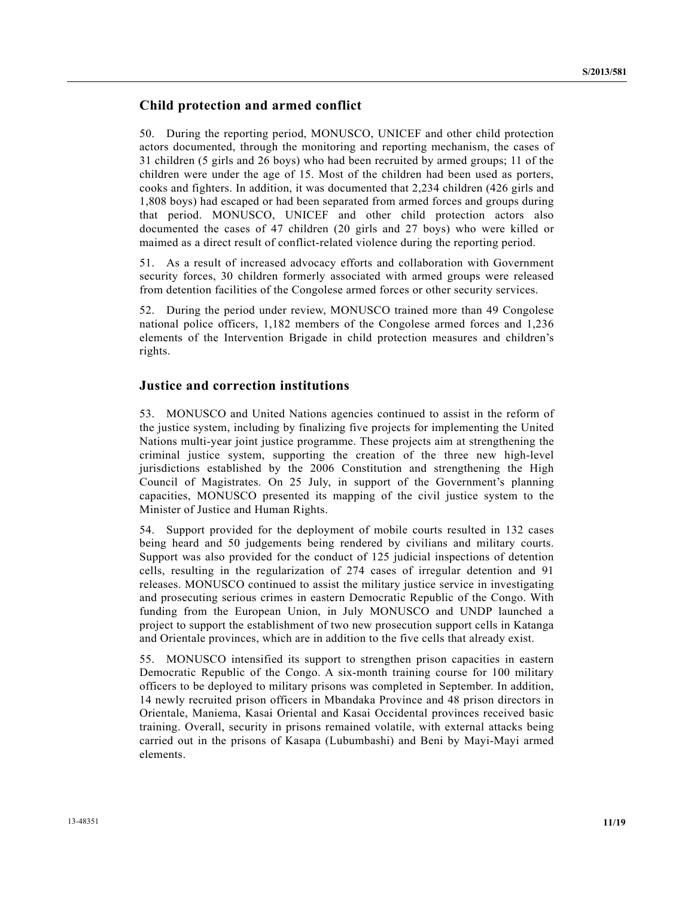### **Child protection and armed conflict**

50. During the reporting period, MONUSCO, UNICEF and other child protection actors documented, through the monitoring and reporting mechanism, the cases of 31 children (5 girls and 26 boys) who had been recruited by armed groups; 11 of the children were under the age of 15. Most of the children had been used as porters, cooks and fighters. In addition, it was documented that 2,234 children (426 girls and 1,808 boys) had escaped or had been separated from armed forces and groups during that period. MONUSCO, UNICEF and other child protection actors also documented the cases of 47 children (20 girls and 27 boys) who were killed or maimed as a direct result of conflict-related violence during the reporting period.

51. As a result of increased advocacy efforts and collaboration with Government security forces, 30 children formerly associated with armed groups were released from detention facilities of the Congolese armed forces or other security services.

52. During the period under review, MONUSCO trained more than 49 Congolese national police officers, 1,182 members of the Congolese armed forces and 1,236 elements of the Intervention Brigade in child protection measures and children's rights.

### **Justice and correction institutions**

53. MONUSCO and United Nations agencies continued to assist in the reform of the justice system, including by finalizing five projects for implementing the United Nations multi-year joint justice programme. These projects aim at strengthening the criminal justice system, supporting the creation of the three new high-level jurisdictions established by the 2006 Constitution and strengthening the High Council of Magistrates. On 25 July, in support of the Government's planning capacities, MONUSCO presented its mapping of the civil justice system to the Minister of Justice and Human Rights.

54. Support provided for the deployment of mobile courts resulted in 132 cases being heard and 50 judgements being rendered by civilians and military courts. Support was also provided for the conduct of 125 judicial inspections of detention cells, resulting in the regularization of 274 cases of irregular detention and 91 releases. MONUSCO continued to assist the military justice service in investigating and prosecuting serious crimes in eastern Democratic Republic of the Congo. With funding from the European Union, in July MONUSCO and UNDP launched a project to support the establishment of two new prosecution support cells in Katanga and Orientale provinces, which are in addition to the five cells that already exist.

55. MONUSCO intensified its support to strengthen prison capacities in eastern Democratic Republic of the Congo. A six-month training course for 100 military officers to be deployed to military prisons was completed in September. In addition, 14 newly recruited prison officers in Mbandaka Province and 48 prison directors in Orientale, Maniema, Kasai Oriental and Kasai Occidental provinces received basic training. Overall, security in prisons remained volatile, with external attacks being carried out in the prisons of Kasapa (Lubumbashi) and Beni by Mayi-Mayi armed elements.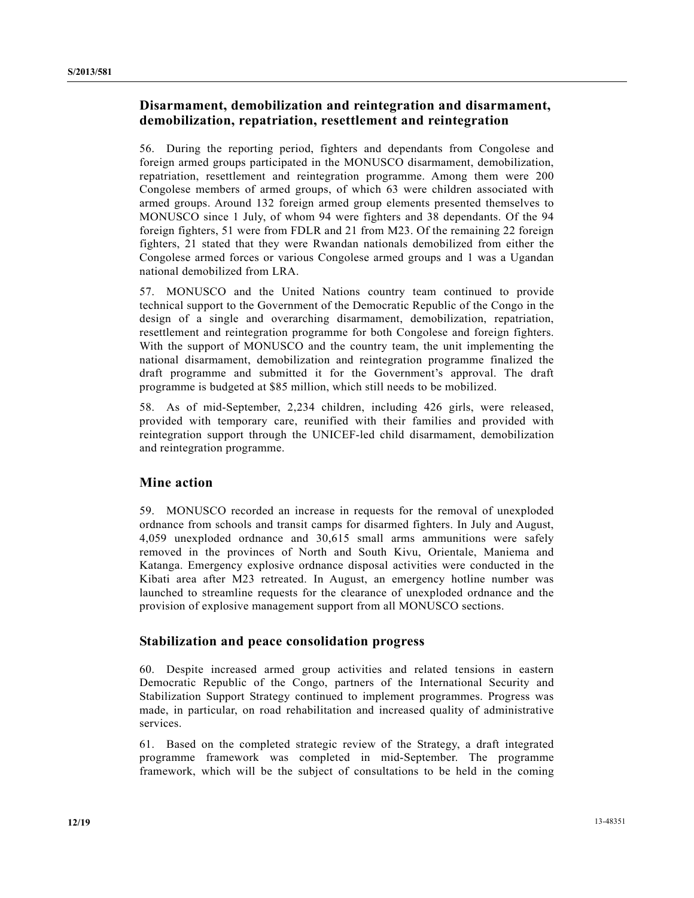### **Disarmament, demobilization and reintegration and disarmament, demobilization, repatriation, resettlement and reintegration**

56. During the reporting period, fighters and dependants from Congolese and foreign armed groups participated in the MONUSCO disarmament, demobilization, repatriation, resettlement and reintegration programme. Among them were 200 Congolese members of armed groups, of which 63 were children associated with armed groups. Around 132 foreign armed group elements presented themselves to MONUSCO since 1 July, of whom 94 were fighters and 38 dependants. Of the 94 foreign fighters, 51 were from FDLR and 21 from M23. Of the remaining 22 foreign fighters, 21 stated that they were Rwandan nationals demobilized from either the Congolese armed forces or various Congolese armed groups and 1 was a Ugandan national demobilized from LRA.

57. MONUSCO and the United Nations country team continued to provide technical support to the Government of the Democratic Republic of the Congo in the design of a single and overarching disarmament, demobilization, repatriation, resettlement and reintegration programme for both Congolese and foreign fighters. With the support of MONUSCO and the country team, the unit implementing the national disarmament, demobilization and reintegration programme finalized the draft programme and submitted it for the Government's approval. The draft programme is budgeted at \$85 million, which still needs to be mobilized.

58. As of mid-September, 2,234 children, including 426 girls, were released, provided with temporary care, reunified with their families and provided with reintegration support through the UNICEF-led child disarmament, demobilization and reintegration programme.

### **Mine action**

59. MONUSCO recorded an increase in requests for the removal of unexploded ordnance from schools and transit camps for disarmed fighters. In July and August, 4,059 unexploded ordnance and 30,615 small arms ammunitions were safely removed in the provinces of North and South Kivu, Orientale, Maniema and Katanga. Emergency explosive ordnance disposal activities were conducted in the Kibati area after M23 retreated. In August, an emergency hotline number was launched to streamline requests for the clearance of unexploded ordnance and the provision of explosive management support from all MONUSCO sections.

### **Stabilization and peace consolidation progress**

60. Despite increased armed group activities and related tensions in eastern Democratic Republic of the Congo, partners of the International Security and Stabilization Support Strategy continued to implement programmes. Progress was made, in particular, on road rehabilitation and increased quality of administrative services.

61. Based on the completed strategic review of the Strategy, a draft integrated programme framework was completed in mid-September. The programme framework, which will be the subject of consultations to be held in the coming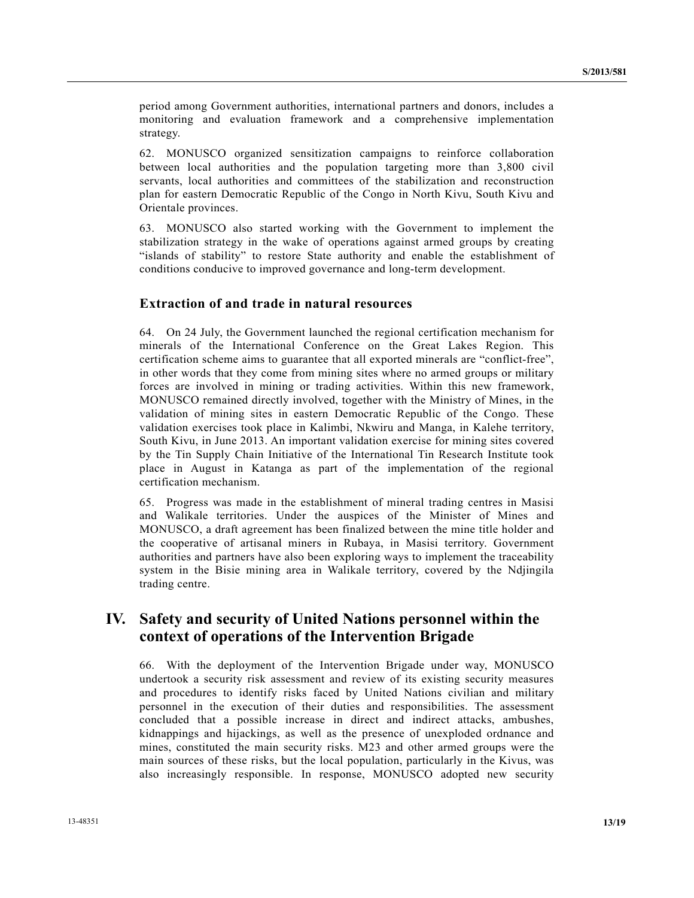period among Government authorities, international partners and donors, includes a monitoring and evaluation framework and a comprehensive implementation strategy.

62. MONUSCO organized sensitization campaigns to reinforce collaboration between local authorities and the population targeting more than 3,800 civil servants, local authorities and committees of the stabilization and reconstruction plan for eastern Democratic Republic of the Congo in North Kivu, South Kivu and Orientale provinces.

63. MONUSCO also started working with the Government to implement the stabilization strategy in the wake of operations against armed groups by creating "islands of stability" to restore State authority and enable the establishment of conditions conducive to improved governance and long-term development.

### **Extraction of and trade in natural resources**

64. On 24 July, the Government launched the regional certification mechanism for minerals of the International Conference on the Great Lakes Region. This certification scheme aims to guarantee that all exported minerals are "conflict-free", in other words that they come from mining sites where no armed groups or military forces are involved in mining or trading activities. Within this new framework, MONUSCO remained directly involved, together with the Ministry of Mines, in the validation of mining sites in eastern Democratic Republic of the Congo. These validation exercises took place in Kalimbi, Nkwiru and Manga, in Kalehe territory, South Kivu, in June 2013. An important validation exercise for mining sites covered by the Tin Supply Chain Initiative of the International Tin Research Institute took place in August in Katanga as part of the implementation of the regional certification mechanism.

65. Progress was made in the establishment of mineral trading centres in Masisi and Walikale territories. Under the auspices of the Minister of Mines and MONUSCO, a draft agreement has been finalized between the mine title holder and the cooperative of artisanal miners in Rubaya, in Masisi territory. Government authorities and partners have also been exploring ways to implement the traceability system in the Bisie mining area in Walikale territory, covered by the Ndjingila trading centre.

## **IV. Safety and security of United Nations personnel within the context of operations of the Intervention Brigade**

66. With the deployment of the Intervention Brigade under way, MONUSCO undertook a security risk assessment and review of its existing security measures and procedures to identify risks faced by United Nations civilian and military personnel in the execution of their duties and responsibilities. The assessment concluded that a possible increase in direct and indirect attacks, ambushes, kidnappings and hijackings, as well as the presence of unexploded ordnance and mines, constituted the main security risks. M23 and other armed groups were the main sources of these risks, but the local population, particularly in the Kivus, was also increasingly responsible. In response, MONUSCO adopted new security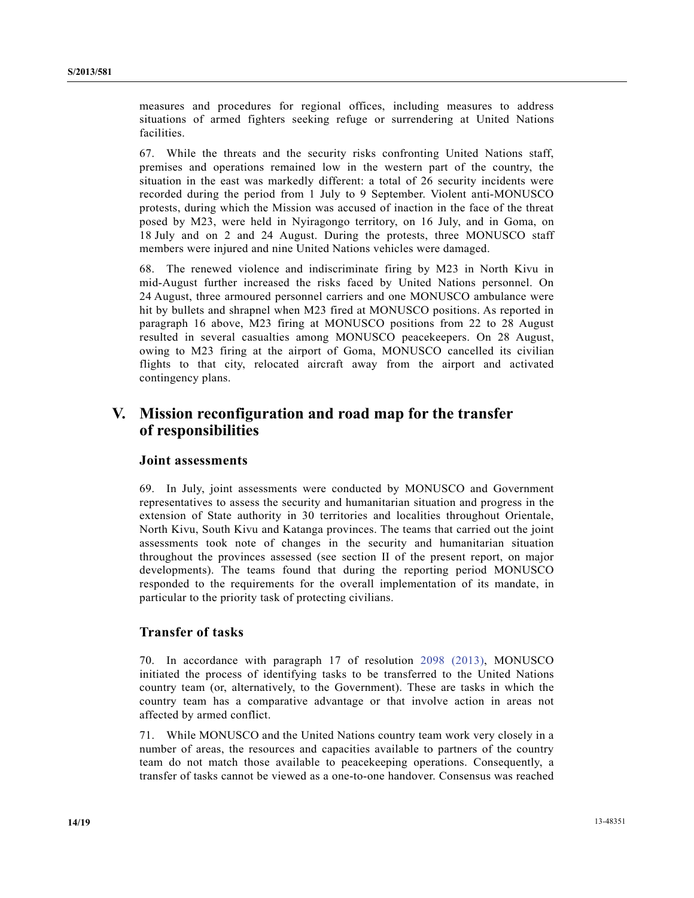measures and procedures for regional offices, including measures to address situations of armed fighters seeking refuge or surrendering at United Nations facilities.

67. While the threats and the security risks confronting United Nations staff, premises and operations remained low in the western part of the country, the situation in the east was markedly different: a total of 26 security incidents were recorded during the period from 1 July to 9 September. Violent anti-MONUSCO protests, during which the Mission was accused of inaction in the face of the threat posed by M23, were held in Nyiragongo territory, on 16 July, and in Goma, on 18 July and on 2 and 24 August. During the protests, three MONUSCO staff members were injured and nine United Nations vehicles were damaged.

68. The renewed violence and indiscriminate firing by M23 in North Kivu in mid-August further increased the risks faced by United Nations personnel. On 24 August, three armoured personnel carriers and one MONUSCO ambulance were hit by bullets and shrapnel when M23 fired at MONUSCO positions. As reported in paragraph 16 above, M23 firing at MONUSCO positions from 22 to 28 August resulted in several casualties among MONUSCO peacekeepers. On 28 August, owing to M23 firing at the airport of Goma, MONUSCO cancelled its civilian flights to that city, relocated aircraft away from the airport and activated contingency plans.

# **V. Mission reconfiguration and road map for the transfer of responsibilities**

### **Joint assessments**

69. In July, joint assessments were conducted by MONUSCO and Government representatives to assess the security and humanitarian situation and progress in the extension of State authority in 30 territories and localities throughout Orientale, North Kivu, South Kivu and Katanga provinces. The teams that carried out the joint assessments took note of changes in the security and humanitarian situation throughout the provinces assessed (see section II of the present report, on major developments). The teams found that during the reporting period MONUSCO responded to the requirements for the overall implementation of its mandate, in particular to the priority task of protecting civilians.

### **Transfer of tasks**

70. In accordance with paragraph 17 of resolution 2098 (2013), MONUSCO initiated the process of identifying tasks to be transferred to the United Nations country team (or, alternatively, to the Government). These are tasks in which the country team has a comparative advantage or that involve action in areas not affected by armed conflict.

71. While MONUSCO and the United Nations country team work very closely in a number of areas, the resources and capacities available to partners of the country team do not match those available to peacekeeping operations. Consequently, a transfer of tasks cannot be viewed as a one-to-one handover. Consensus was reached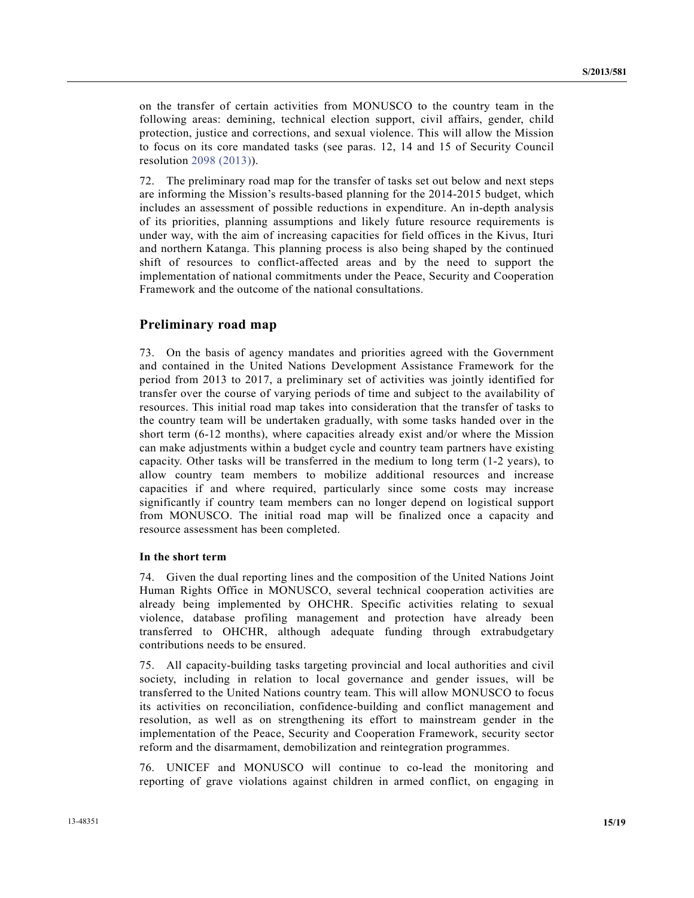on the transfer of certain activities from MONUSCO to the country team in the following areas: demining, technical election support, civil affairs, gender, child protection, justice and corrections, and sexual violence. This will allow the Mission to focus on its core mandated tasks (see paras. 12, 14 and 15 of Security Council resolution 2098 (2013)).

72. The preliminary road map for the transfer of tasks set out below and next steps are informing the Mission's results-based planning for the 2014-2015 budget, which includes an assessment of possible reductions in expenditure. An in-depth analysis of its priorities, planning assumptions and likely future resource requirements is under way, with the aim of increasing capacities for field offices in the Kivus, Ituri and northern Katanga. This planning process is also being shaped by the continued shift of resources to conflict-affected areas and by the need to support the implementation of national commitments under the Peace, Security and Cooperation Framework and the outcome of the national consultations.

### **Preliminary road map**

73. On the basis of agency mandates and priorities agreed with the Government and contained in the United Nations Development Assistance Framework for the period from 2013 to 2017, a preliminary set of activities was jointly identified for transfer over the course of varying periods of time and subject to the availability of resources. This initial road map takes into consideration that the transfer of tasks to the country team will be undertaken gradually, with some tasks handed over in the short term (6-12 months), where capacities already exist and/or where the Mission can make adjustments within a budget cycle and country team partners have existing capacity. Other tasks will be transferred in the medium to long term (1-2 years), to allow country team members to mobilize additional resources and increase capacities if and where required, particularly since some costs may increase significantly if country team members can no longer depend on logistical support from MONUSCO. The initial road map will be finalized once a capacity and resource assessment has been completed.

#### **In the short term**

74. Given the dual reporting lines and the composition of the United Nations Joint Human Rights Office in MONUSCO, several technical cooperation activities are already being implemented by OHCHR. Specific activities relating to sexual violence, database profiling management and protection have already been transferred to OHCHR, although adequate funding through extrabudgetary contributions needs to be ensured.

75. All capacity-building tasks targeting provincial and local authorities and civil society, including in relation to local governance and gender issues, will be transferred to the United Nations country team. This will allow MONUSCO to focus its activities on reconciliation, confidence-building and conflict management and resolution, as well as on strengthening its effort to mainstream gender in the implementation of the Peace, Security and Cooperation Framework, security sector reform and the disarmament, demobilization and reintegration programmes.

76. UNICEF and MONUSCO will continue to co-lead the monitoring and reporting of grave violations against children in armed conflict, on engaging in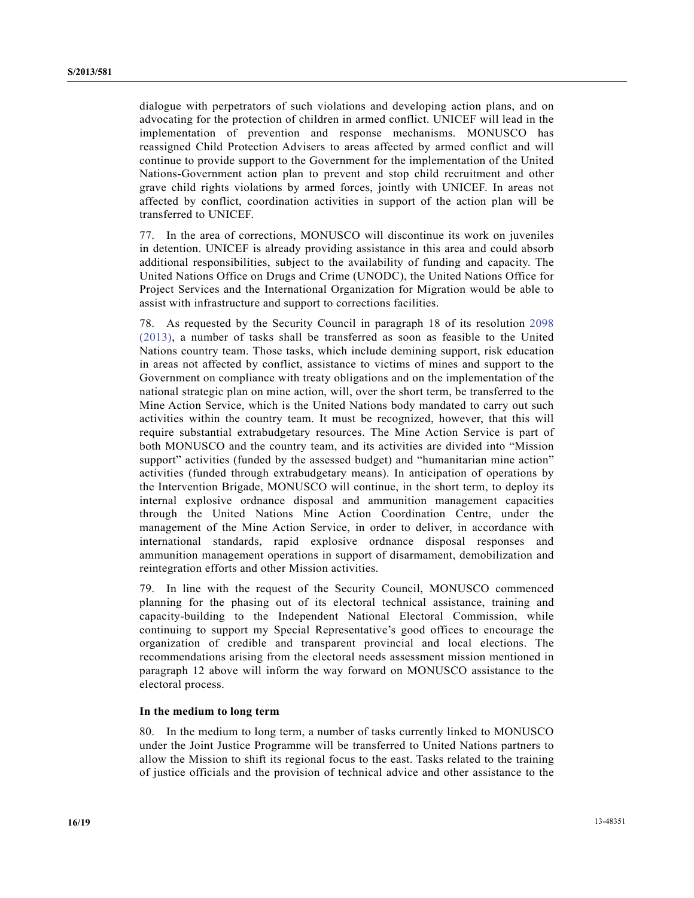dialogue with perpetrators of such violations and developing action plans, and on advocating for the protection of children in armed conflict. UNICEF will lead in the implementation of prevention and response mechanisms. MONUSCO has reassigned Child Protection Advisers to areas affected by armed conflict and will continue to provide support to the Government for the implementation of the United Nations-Government action plan to prevent and stop child recruitment and other grave child rights violations by armed forces, jointly with UNICEF. In areas not affected by conflict, coordination activities in support of the action plan will be transferred to UNICEF.

77. In the area of corrections, MONUSCO will discontinue its work on juveniles in detention. UNICEF is already providing assistance in this area and could absorb additional responsibilities, subject to the availability of funding and capacity. The United Nations Office on Drugs and Crime (UNODC), the United Nations Office for Project Services and the International Organization for Migration would be able to assist with infrastructure and support to corrections facilities.

78. As requested by the Security Council in paragraph 18 of its resolution 2098 (2013), a number of tasks shall be transferred as soon as feasible to the United Nations country team. Those tasks, which include demining support, risk education in areas not affected by conflict, assistance to victims of mines and support to the Government on compliance with treaty obligations and on the implementation of the national strategic plan on mine action, will, over the short term, be transferred to the Mine Action Service, which is the United Nations body mandated to carry out such activities within the country team. It must be recognized, however, that this will require substantial extrabudgetary resources. The Mine Action Service is part of both MONUSCO and the country team, and its activities are divided into "Mission support" activities (funded by the assessed budget) and "humanitarian mine action" activities (funded through extrabudgetary means). In anticipation of operations by the Intervention Brigade, MONUSCO will continue, in the short term, to deploy its internal explosive ordnance disposal and ammunition management capacities through the United Nations Mine Action Coordination Centre, under the management of the Mine Action Service, in order to deliver, in accordance with international standards, rapid explosive ordnance disposal responses and ammunition management operations in support of disarmament, demobilization and reintegration efforts and other Mission activities.

79. In line with the request of the Security Council, MONUSCO commenced planning for the phasing out of its electoral technical assistance, training and capacity-building to the Independent National Electoral Commission, while continuing to support my Special Representative's good offices to encourage the organization of credible and transparent provincial and local elections. The recommendations arising from the electoral needs assessment mission mentioned in paragraph 12 above will inform the way forward on MONUSCO assistance to the electoral process.

#### **In the medium to long term**

80. In the medium to long term, a number of tasks currently linked to MONUSCO under the Joint Justice Programme will be transferred to United Nations partners to allow the Mission to shift its regional focus to the east. Tasks related to the training of justice officials and the provision of technical advice and other assistance to the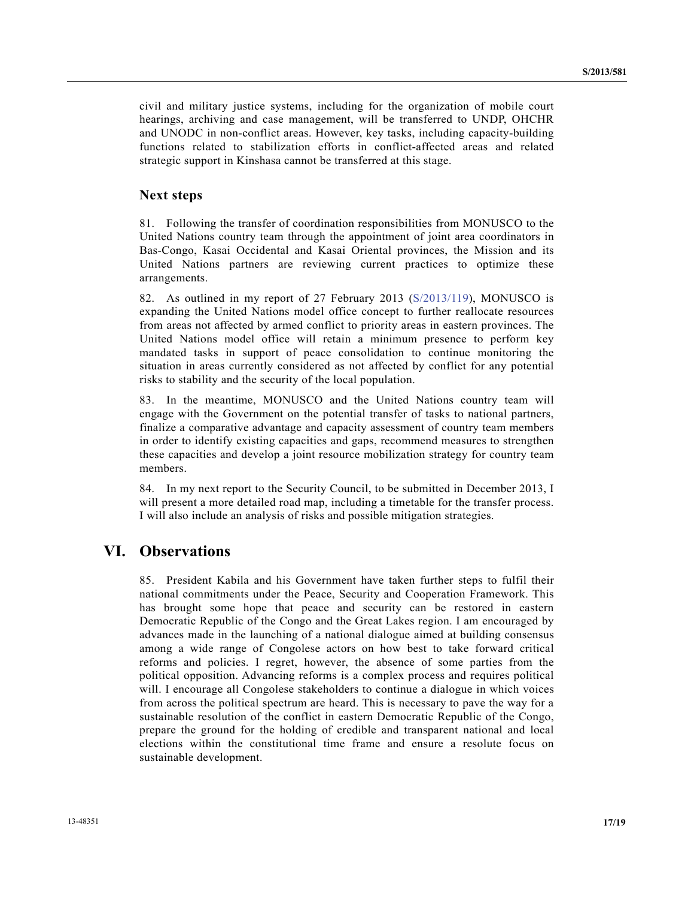civil and military justice systems, including for the organization of mobile court hearings, archiving and case management, will be transferred to UNDP, OHCHR and UNODC in non-conflict areas. However, key tasks, including capacity-building functions related to stabilization efforts in conflict-affected areas and related strategic support in Kinshasa cannot be transferred at this stage.

### **Next steps**

81. Following the transfer of coordination responsibilities from MONUSCO to the United Nations country team through the appointment of joint area coordinators in Bas-Congo, Kasai Occidental and Kasai Oriental provinces, the Mission and its United Nations partners are reviewing current practices to optimize these arrangements.

82. As outlined in my report of 27 February 2013 (S/2013/119), MONUSCO is expanding the United Nations model office concept to further reallocate resources from areas not affected by armed conflict to priority areas in eastern provinces. The United Nations model office will retain a minimum presence to perform key mandated tasks in support of peace consolidation to continue monitoring the situation in areas currently considered as not affected by conflict for any potential risks to stability and the security of the local population.

83. In the meantime, MONUSCO and the United Nations country team will engage with the Government on the potential transfer of tasks to national partners, finalize a comparative advantage and capacity assessment of country team members in order to identify existing capacities and gaps, recommend measures to strengthen these capacities and develop a joint resource mobilization strategy for country team members.

84. In my next report to the Security Council, to be submitted in December 2013, I will present a more detailed road map, including a timetable for the transfer process. I will also include an analysis of risks and possible mitigation strategies.

# **VI. Observations**

85. President Kabila and his Government have taken further steps to fulfil their national commitments under the Peace, Security and Cooperation Framework. This has brought some hope that peace and security can be restored in eastern Democratic Republic of the Congo and the Great Lakes region. I am encouraged by advances made in the launching of a national dialogue aimed at building consensus among a wide range of Congolese actors on how best to take forward critical reforms and policies. I regret, however, the absence of some parties from the political opposition. Advancing reforms is a complex process and requires political will. I encourage all Congolese stakeholders to continue a dialogue in which voices from across the political spectrum are heard. This is necessary to pave the way for a sustainable resolution of the conflict in eastern Democratic Republic of the Congo, prepare the ground for the holding of credible and transparent national and local elections within the constitutional time frame and ensure a resolute focus on sustainable development.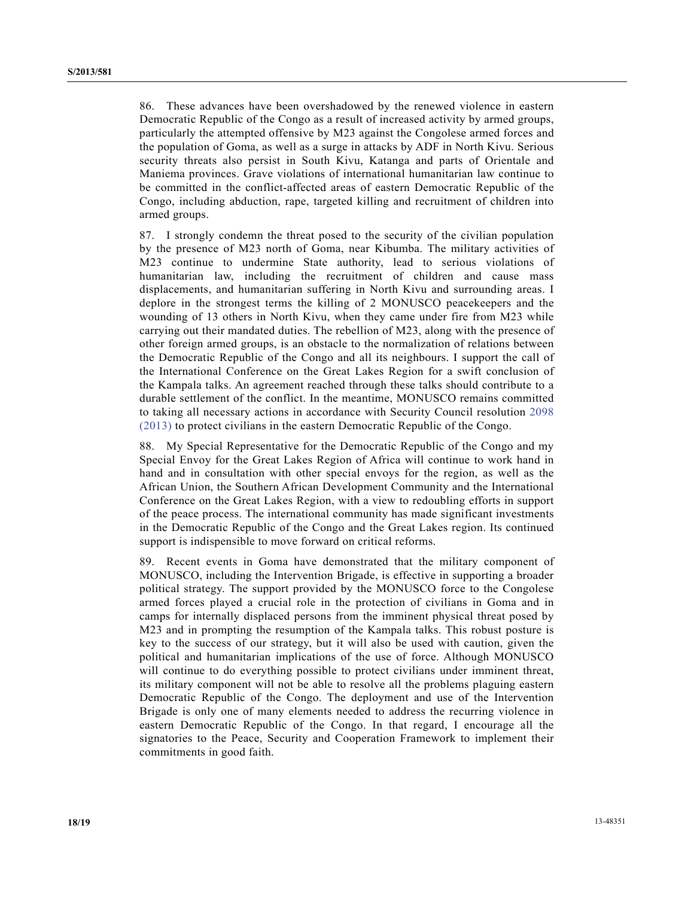86. These advances have been overshadowed by the renewed violence in eastern Democratic Republic of the Congo as a result of increased activity by armed groups, particularly the attempted offensive by M23 against the Congolese armed forces and the population of Goma, as well as a surge in attacks by ADF in North Kivu. Serious security threats also persist in South Kivu, Katanga and parts of Orientale and Maniema provinces. Grave violations of international humanitarian law continue to be committed in the conflict-affected areas of eastern Democratic Republic of the Congo, including abduction, rape, targeted killing and recruitment of children into armed groups.

87. I strongly condemn the threat posed to the security of the civilian population by the presence of M23 north of Goma, near Kibumba. The military activities of M23 continue to undermine State authority, lead to serious violations of humanitarian law, including the recruitment of children and cause mass displacements, and humanitarian suffering in North Kivu and surrounding areas. I deplore in the strongest terms the killing of 2 MONUSCO peacekeepers and the wounding of 13 others in North Kivu, when they came under fire from M23 while carrying out their mandated duties. The rebellion of M23, along with the presence of other foreign armed groups, is an obstacle to the normalization of relations between the Democratic Republic of the Congo and all its neighbours. I support the call of the International Conference on the Great Lakes Region for a swift conclusion of the Kampala talks. An agreement reached through these talks should contribute to a durable settlement of the conflict. In the meantime, MONUSCO remains committed to taking all necessary actions in accordance with Security Council resolution 2098 (2013) to protect civilians in the eastern Democratic Republic of the Congo.

88. My Special Representative for the Democratic Republic of the Congo and my Special Envoy for the Great Lakes Region of Africa will continue to work hand in hand and in consultation with other special envoys for the region, as well as the African Union, the Southern African Development Community and the International Conference on the Great Lakes Region, with a view to redoubling efforts in support of the peace process. The international community has made significant investments in the Democratic Republic of the Congo and the Great Lakes region. Its continued support is indispensible to move forward on critical reforms.

89. Recent events in Goma have demonstrated that the military component of MONUSCO, including the Intervention Brigade, is effective in supporting a broader political strategy. The support provided by the MONUSCO force to the Congolese armed forces played a crucial role in the protection of civilians in Goma and in camps for internally displaced persons from the imminent physical threat posed by M23 and in prompting the resumption of the Kampala talks. This robust posture is key to the success of our strategy, but it will also be used with caution, given the political and humanitarian implications of the use of force. Although MONUSCO will continue to do everything possible to protect civilians under imminent threat, its military component will not be able to resolve all the problems plaguing eastern Democratic Republic of the Congo. The deployment and use of the Intervention Brigade is only one of many elements needed to address the recurring violence in eastern Democratic Republic of the Congo. In that regard, I encourage all the signatories to the Peace, Security and Cooperation Framework to implement their commitments in good faith.